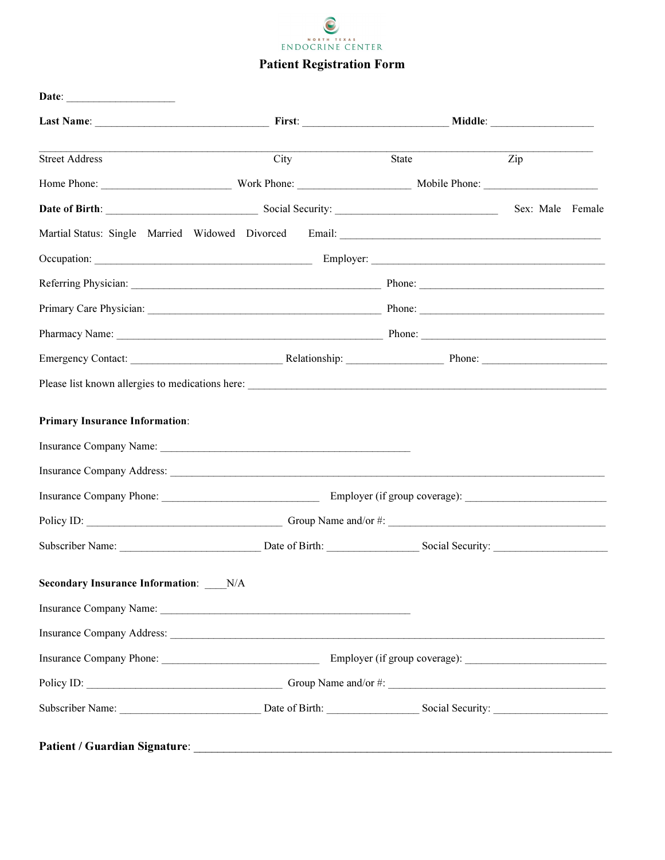

| <b>Street Address</b>                       | City | State | Zip              |
|---------------------------------------------|------|-------|------------------|
|                                             |      |       |                  |
|                                             |      |       | Sex: Male Female |
|                                             |      |       |                  |
|                                             |      |       |                  |
|                                             |      |       |                  |
|                                             |      |       |                  |
|                                             |      |       |                  |
|                                             |      |       |                  |
|                                             |      |       |                  |
| <b>Primary Insurance Information:</b>       |      |       |                  |
|                                             |      |       |                  |
|                                             |      |       |                  |
|                                             |      |       |                  |
|                                             |      |       |                  |
|                                             |      |       |                  |
|                                             |      |       |                  |
|                                             |      |       |                  |
| <b>Secondary Insurance Information:</b> N/A |      |       |                  |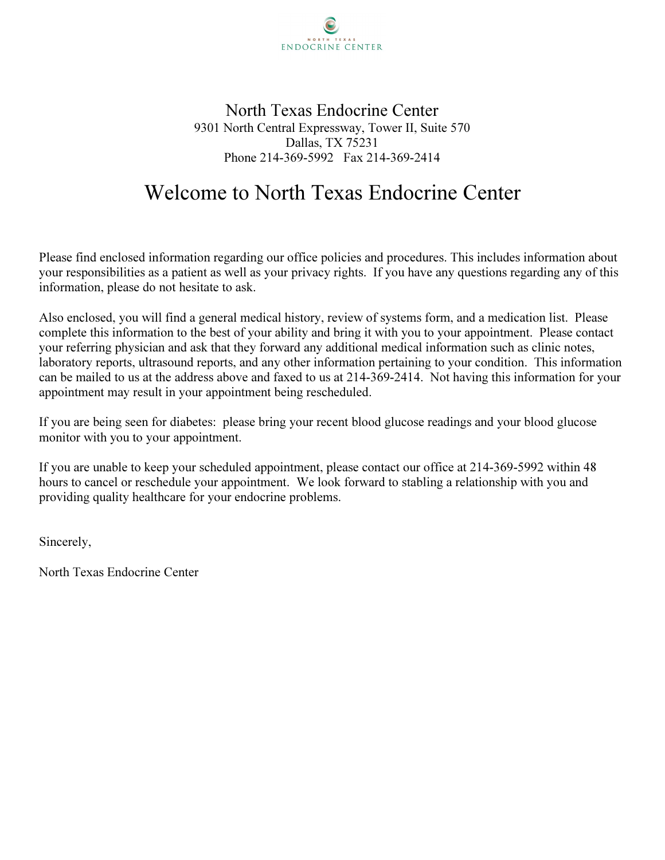

North Texas Endocrine Center 9301 North Central Expressway, Tower II, Suite 570 Dallas, TX 75231 Phone 214-369-5992 Fax 214-369-2414

# Welcome to North Texas Endocrine Center

Please find enclosed information regarding our office policies and procedures. This includes information about your responsibilities as a patient as well as your privacy rights. If you have any questions regarding any of this information, please do not hesitate to ask.

Also enclosed, you will find a general medical history, review of systems form, and a medication list. Please complete this information to the best of your ability and bring it with you to your appointment. Please contact your referring physician and ask that they forward any additional medical information such as clinic notes, laboratory reports, ultrasound reports, and any other information pertaining to your condition. This information can be mailed to us at the address above and faxed to us at 214-369-2414. Not having this information for your appointment may result in your appointment being rescheduled.

If you are being seen for diabetes: please bring your recent blood glucose readings and your blood glucose monitor with you to your appointment.

If you are unable to keep your scheduled appointment, please contact our office at 214-369-5992 within 48 hours to cancel or reschedule your appointment. We look forward to stabling a relationship with you and providing quality healthcare for your endocrine problems.

Sincerely,

North Texas Endocrine Center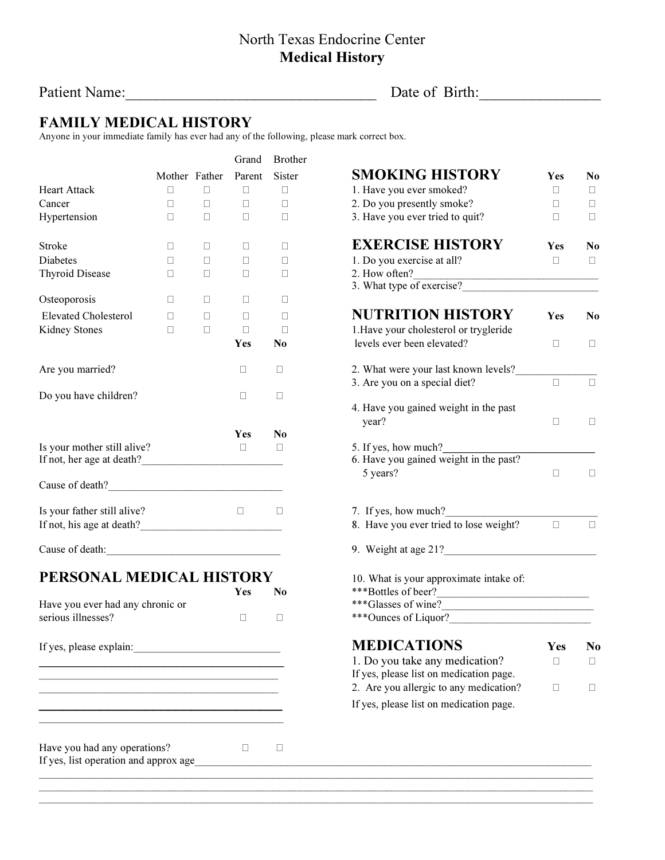#### North Texas Endocrine Center Medical History

Patient Name:\_\_\_\_\_\_\_\_\_\_\_\_\_\_\_\_\_\_\_\_\_\_\_\_\_\_\_\_\_\_\_\_\_ Date of Birth:\_\_\_\_\_\_\_\_\_\_\_\_\_\_\_\_

## FAMILY MEDICAL HISTORY

Anyone in your immediate family has ever had any of the following, please mark correct box.

|                                  |               | Grand  | <b>Brother</b>                  |                                                    |            |                |
|----------------------------------|---------------|--------|---------------------------------|----------------------------------------------------|------------|----------------|
|                                  | Mother Father | Parent | Sister                          | <b>SMOKING HISTORY</b>                             | <b>Yes</b> | No.            |
| <b>Heart Attack</b>              |               |        |                                 | 1. Have you ever smoked?                           |            |                |
| Cancer                           |               |        |                                 | 2. Do you presently smoke?                         |            |                |
| Hypertension                     |               |        | 3. Have you ever tried to quit? |                                                    |            |                |
| <b>Stroke</b>                    |               |        |                                 | <b>EXERCISE HISTORY</b>                            | Yes        | N <sub>0</sub> |
| <b>Diabetes</b>                  |               |        |                                 | 1. Do you exercise at all?                         |            |                |
| <b>Thyroid Disease</b>           |               |        |                                 | 2. How often?                                      |            |                |
|                                  |               |        |                                 | 3. What type of exercise?                          |            |                |
| Osteoporosis                     |               |        |                                 |                                                    |            |                |
| <b>Elevated Cholesterol</b>      |               |        |                                 | <b>NUTRITION HISTORY</b>                           | Yes        | N <sub>0</sub> |
| Kidney Stones                    |               |        |                                 | 1. Have your cholesterol or trygleride             |            |                |
|                                  |               | Yes    | No                              | levels ever been elevated?                         |            |                |
| Are you married?                 |               |        |                                 | 2. What were your last known levels?               |            |                |
|                                  |               |        |                                 | 3. Are you on a special diet?                      |            |                |
| Do you have children?            |               |        |                                 |                                                    |            |                |
|                                  |               |        |                                 | 4. Have you gained weight in the past<br>year?     |            |                |
|                                  |               | Yes    | N <sub>0</sub>                  |                                                    |            |                |
| Is your mother still alive?      |               |        |                                 | 5. If yes, how much?                               |            |                |
|                                  |               |        |                                 | 6. Have you gained weight in the past?<br>5 years? |            |                |
|                                  |               |        |                                 |                                                    |            |                |
| Is your father still alive?      |               |        |                                 | 7. If yes, how much?                               |            |                |
|                                  |               |        |                                 | 8. Have you ever tried to lose weight?             |            |                |
| Cause of death:                  |               |        |                                 | 9. Weight at age 21?                               |            |                |
| PERSONAL MEDICAL HISTORY         |               |        |                                 | 10. What is your approximate intake of:            |            |                |
|                                  |               | Yes    | N <sub>0</sub>                  | ***Bottles of beer?                                |            |                |
| Have you ever had any chronic or |               |        |                                 |                                                    |            |                |
| serious illnesses?               |               |        |                                 | ***Ounces of Liquor?                               |            |                |
| If yes, please explain:          |               |        |                                 | <b>MEDICATIONS</b>                                 | Yes        | N <sub>o</sub> |
|                                  |               |        |                                 | 1. Do you take any medication?                     |            |                |
|                                  |               |        |                                 | If yes, please list on medication page.            |            |                |
|                                  |               |        |                                 | 2. Are you allergic to any medication?             |            |                |
|                                  |               |        |                                 | If yes, please list on medication page.            |            |                |
|                                  |               |        |                                 |                                                    |            |                |
| Have you had any operations?     |               |        |                                 |                                                    |            |                |
|                                  |               |        |                                 |                                                    |            |                |
|                                  |               |        |                                 |                                                    |            |                |

 $\mathcal{L}_\mathcal{L} = \{ \mathcal{L}_\mathcal{L} = \{ \mathcal{L}_\mathcal{L} = \{ \mathcal{L}_\mathcal{L} = \{ \mathcal{L}_\mathcal{L} = \{ \mathcal{L}_\mathcal{L} = \{ \mathcal{L}_\mathcal{L} = \{ \mathcal{L}_\mathcal{L} = \{ \mathcal{L}_\mathcal{L} = \{ \mathcal{L}_\mathcal{L} = \{ \mathcal{L}_\mathcal{L} = \{ \mathcal{L}_\mathcal{L} = \{ \mathcal{L}_\mathcal{L} = \{ \mathcal{L}_\mathcal{L} = \{ \mathcal{L}_\mathcal{$  $\mathcal{L}_\mathcal{L} = \{ \mathcal{L}_\mathcal{L} = \{ \mathcal{L}_\mathcal{L} = \{ \mathcal{L}_\mathcal{L} = \{ \mathcal{L}_\mathcal{L} = \{ \mathcal{L}_\mathcal{L} = \{ \mathcal{L}_\mathcal{L} = \{ \mathcal{L}_\mathcal{L} = \{ \mathcal{L}_\mathcal{L} = \{ \mathcal{L}_\mathcal{L} = \{ \mathcal{L}_\mathcal{L} = \{ \mathcal{L}_\mathcal{L} = \{ \mathcal{L}_\mathcal{L} = \{ \mathcal{L}_\mathcal{L} = \{ \mathcal{L}_\mathcal{$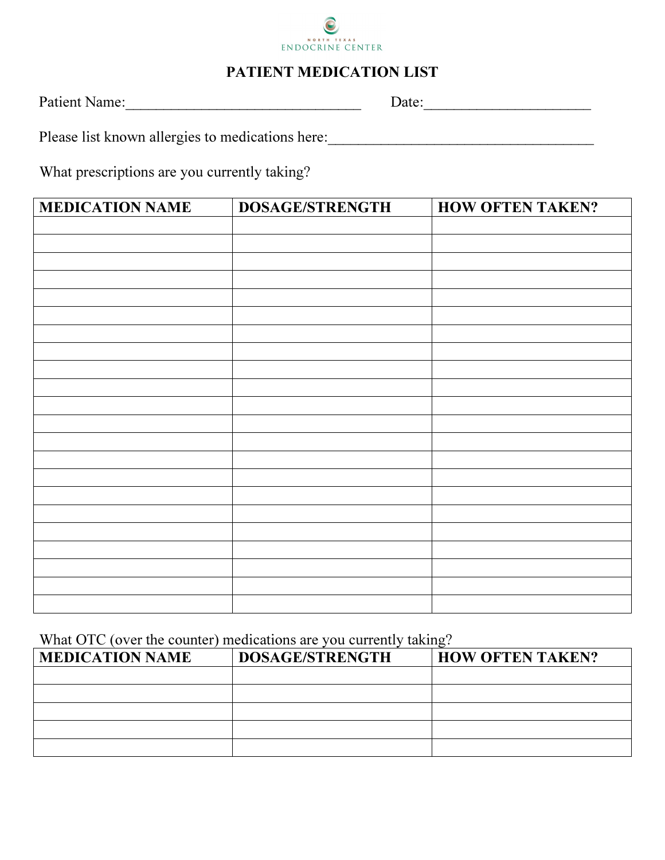

#### PATIENT MEDICATION LIST

Patient Name:\_\_\_\_\_\_\_\_\_\_\_\_\_\_\_\_\_\_\_\_\_\_\_\_\_\_\_\_\_\_\_ Date:\_\_\_\_\_\_\_\_\_\_\_\_\_\_\_\_\_\_\_\_\_\_

Please list known allergies to medications here: \_\_\_\_\_\_\_\_\_\_\_\_\_\_\_\_\_\_\_\_\_\_\_\_\_\_\_\_\_\_\_\_

What prescriptions are you currently taking?

| <b>MEDICATION NAME</b> | <b>DOSAGE/STRENGTH</b> | <b>HOW OFTEN TAKEN?</b> |
|------------------------|------------------------|-------------------------|
|                        |                        |                         |
|                        |                        |                         |
|                        |                        |                         |
|                        |                        |                         |
|                        |                        |                         |
|                        |                        |                         |
|                        |                        |                         |
|                        |                        |                         |
|                        |                        |                         |
|                        |                        |                         |
|                        |                        |                         |
|                        |                        |                         |
|                        |                        |                         |
|                        |                        |                         |
|                        |                        |                         |
|                        |                        |                         |
|                        |                        |                         |
|                        |                        |                         |
|                        |                        |                         |
|                        |                        |                         |
|                        |                        |                         |
|                        |                        |                         |

What OTC (over the counter) medications are you currently taking?

| <b>MEDICATION NAME</b> | DOSAGE/STRENGTH | <b>HOW OFTEN TAKEN?</b> |
|------------------------|-----------------|-------------------------|
|                        |                 |                         |
|                        |                 |                         |
|                        |                 |                         |
|                        |                 |                         |
|                        |                 |                         |